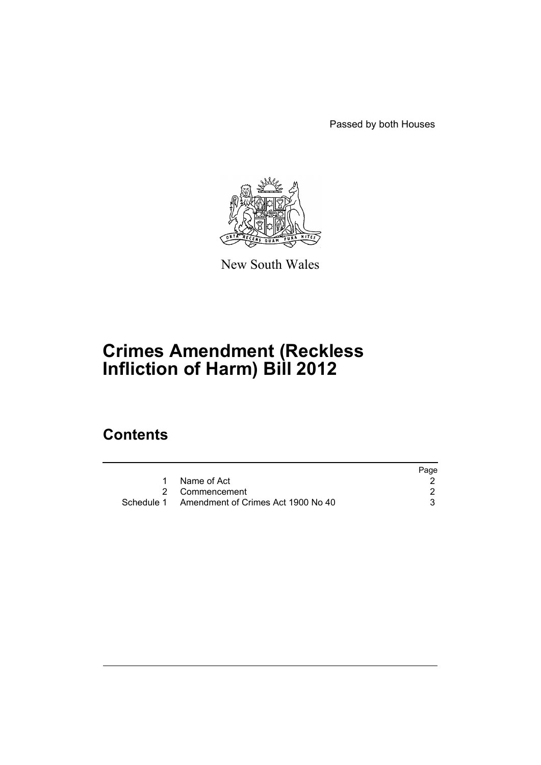Passed by both Houses



New South Wales

# **Crimes Amendment (Reckless Infliction of Harm) Bill 2012**

## **Contents**

|                                               | Page |
|-----------------------------------------------|------|
| Name of Act                                   |      |
| 2 Commencement                                |      |
| Schedule 1 Amendment of Crimes Act 1900 No 40 |      |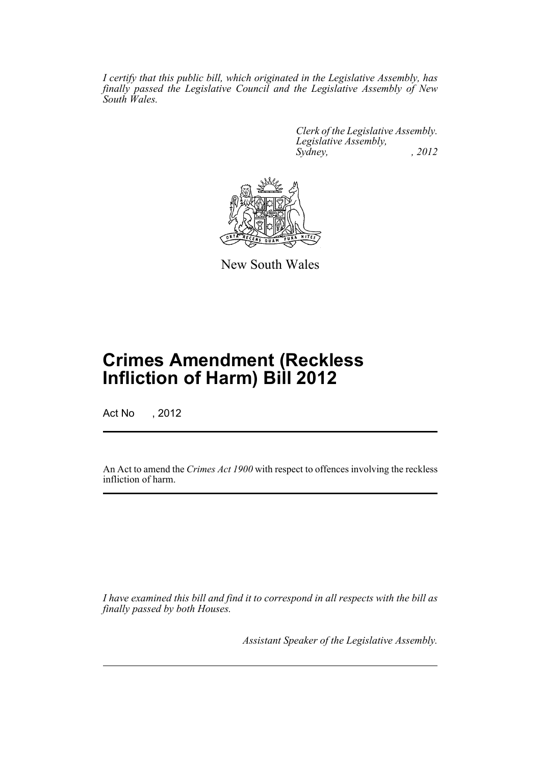*I certify that this public bill, which originated in the Legislative Assembly, has finally passed the Legislative Council and the Legislative Assembly of New South Wales.*

> *Clerk of the Legislative Assembly. Legislative Assembly, Sydney, , 2012*



New South Wales

# **Crimes Amendment (Reckless Infliction of Harm) Bill 2012**

Act No , 2012

An Act to amend the *Crimes Act 1900* with respect to offences involving the reckless infliction of harm.

*I have examined this bill and find it to correspond in all respects with the bill as finally passed by both Houses.*

*Assistant Speaker of the Legislative Assembly.*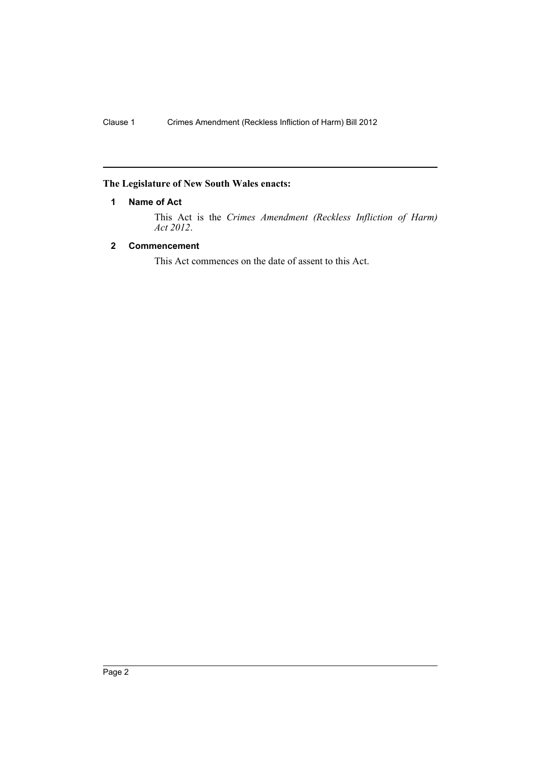## <span id="page-3-0"></span>**The Legislature of New South Wales enacts:**

#### **1 Name of Act**

This Act is the *Crimes Amendment (Reckless Infliction of Harm) Act 2012*.

### <span id="page-3-1"></span>**2 Commencement**

This Act commences on the date of assent to this Act.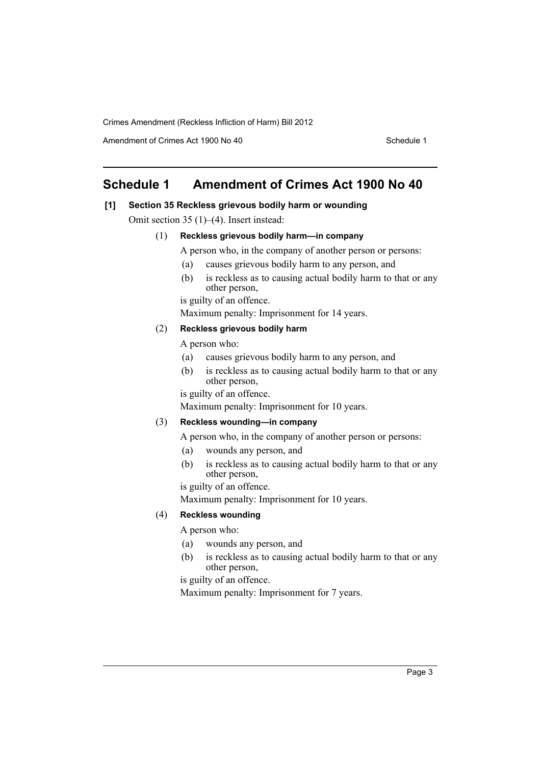Crimes Amendment (Reckless Infliction of Harm) Bill 2012

Amendment of Crimes Act 1900 No 40 Schedule 1

## <span id="page-4-0"></span>**Schedule 1 Amendment of Crimes Act 1900 No 40**

#### **[1] Section 35 Reckless grievous bodily harm or wounding**

Omit section 35 (1)–(4). Insert instead:

### (1) **Reckless grievous bodily harm—in company**

A person who, in the company of another person or persons:

- (a) causes grievous bodily harm to any person, and
- (b) is reckless as to causing actual bodily harm to that or any other person,

is guilty of an offence.

Maximum penalty: Imprisonment for 14 years.

#### (2) **Reckless grievous bodily harm**

A person who:

- (a) causes grievous bodily harm to any person, and
- (b) is reckless as to causing actual bodily harm to that or any other person,

is guilty of an offence.

Maximum penalty: Imprisonment for 10 years.

### (3) **Reckless wounding—in company**

A person who, in the company of another person or persons:

- (a) wounds any person, and
- (b) is reckless as to causing actual bodily harm to that or any other person,

is guilty of an offence.

Maximum penalty: Imprisonment for 10 years.

#### (4) **Reckless wounding**

A person who:

- (a) wounds any person, and
- (b) is reckless as to causing actual bodily harm to that or any other person,

is guilty of an offence.

Maximum penalty: Imprisonment for 7 years.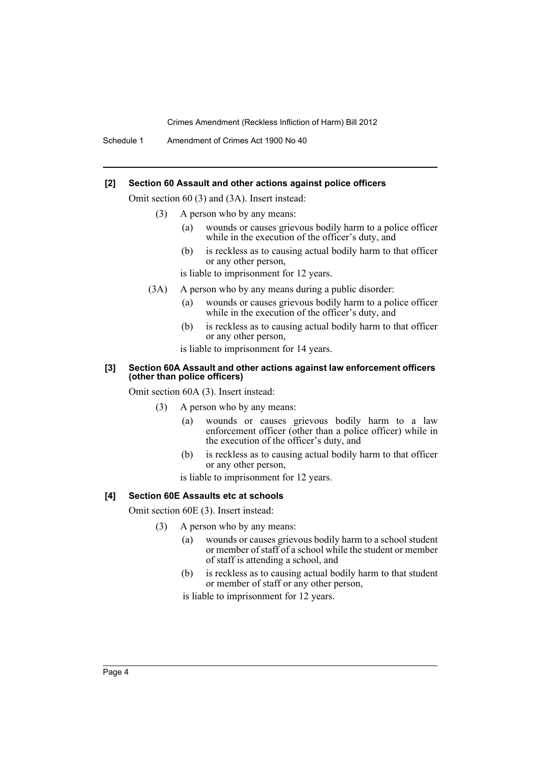Crimes Amendment (Reckless Infliction of Harm) Bill 2012

Schedule 1 Amendment of Crimes Act 1900 No 40

#### **[2] Section 60 Assault and other actions against police officers**

Omit section 60 (3) and (3A). Insert instead:

- (3) A person who by any means:
	- (a) wounds or causes grievous bodily harm to a police officer while in the execution of the officer's duty, and
	- (b) is reckless as to causing actual bodily harm to that officer or any other person,

is liable to imprisonment for 12 years.

- (3A) A person who by any means during a public disorder:
	- (a) wounds or causes grievous bodily harm to a police officer while in the execution of the officer's duty, and
	- (b) is reckless as to causing actual bodily harm to that officer or any other person,
	- is liable to imprisonment for 14 years.

#### **[3] Section 60A Assault and other actions against law enforcement officers (other than police officers)**

Omit section 60A (3). Insert instead:

- (3) A person who by any means:
	- (a) wounds or causes grievous bodily harm to a law enforcement officer (other than a police officer) while in the execution of the officer's duty, and
	- (b) is reckless as to causing actual bodily harm to that officer or any other person,

is liable to imprisonment for 12 years.

#### **[4] Section 60E Assaults etc at schools**

Omit section 60E (3). Insert instead:

- (3) A person who by any means:
	- (a) wounds or causes grievous bodily harm to a school student or member of staff of a school while the student or member of staff is attending a school, and
	- (b) is reckless as to causing actual bodily harm to that student or member of staff or any other person,

is liable to imprisonment for 12 years.